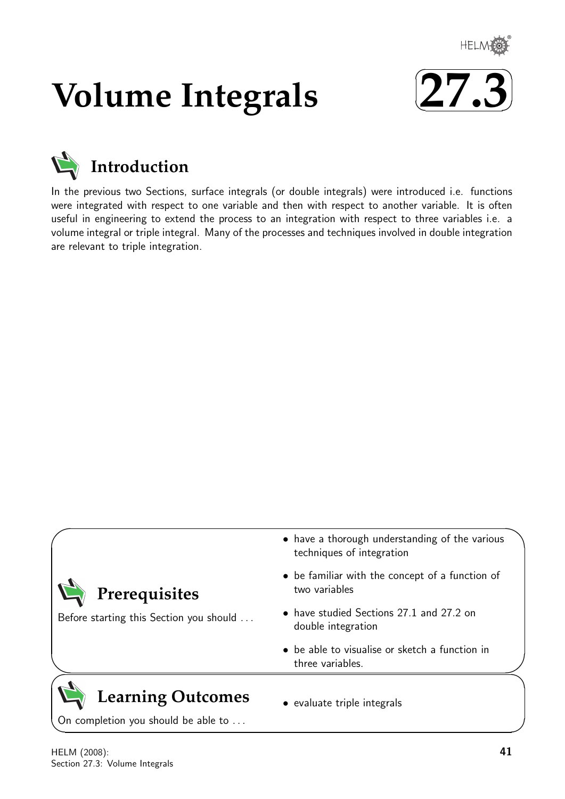

# **Volume Integrals**





# **Introduction**

In the previous two Sections, surface integrals (or double integrals) were introduced i.e. functions were integrated with respect to one variable and then with respect to another variable. It is often useful in engineering to extend the process to an integration with respect to three variables i.e. a volume integral or triple integral. Many of the processes and techniques involved in double integration are relevant to triple integration.

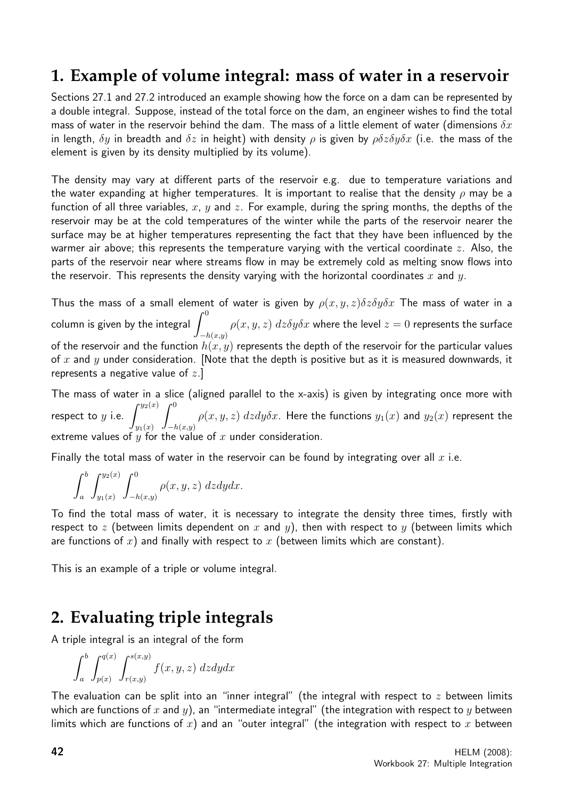# **1. Example of volume integral: mass of water in a reservoir**

Sections 27.1 and 27.2 introduced an example showing how the force on a dam can be represented by a double integral. Suppose, instead of the total force on the dam, an engineer wishes to find the total mass of water in the reservoir behind the dam. The mass of a little element of water (dimensions  $\delta x$ in length,  $\delta y$  in breadth and  $\delta z$  in height) with density  $\rho$  is given by  $\rho \delta z \delta y \delta x$  (i.e. the mass of the element is given by its density multiplied by its volume).

The density may vary at different parts of the reservoir e.g. due to temperature variations and the water expanding at higher temperatures. It is important to realise that the density  $\rho$  may be a function of all three variables, x, y and z. For example, during the spring months, the depths of the reservoir may be at the cold temperatures of the winter while the parts of the reservoir nearer the surface may be at higher temperatures representing the fact that they have been influenced by the warmer air above; this represents the temperature varying with the vertical coordinate  $z$ . Also, the parts of the reservoir near where streams flow in may be extremely cold as melting snow flows into the reservoir. This represents the density varying with the horizontal coordinates x and y.

Thus the mass of a small element of water is given by  $\rho(x, y, z) \delta z \delta y \delta x$  The mass of water in a column is given by the integral  $\,\int^0$  $-h(x,y)$  $\rho(x,y,z)$   $dz\delta y\delta x$  where the level  $z=0$  represents the surface of the reservoir and the function  $h(x, y)$  represents the depth of the reservoir for the particular values of  $x$  and  $y$  under consideration. [Note that the depth is positive but as it is measured downwards, it represents a negative value of  $z$ .

The mass of water in a slice (aligned parallel to the x-axis) is given by integrating once more with respect to  $y$  i.e.  $\int^{y_2(x)}$  $y_1(x)$  $\int_0^0$  $-h(x,y)$  $\rho(x,y,z)$   $dzdy\delta x.$  Here the functions  $y_1(x)$  and  $y_2(x)$  represent the extreme values of  $y$  for the value of  $x$  under consideration.

Finally the total mass of water in the reservoir can be found by integrating over all  $x$  i.e.

$$
\int_a^b \int_{y_1(x)}^{y_2(x)} \int_{-h(x,y)}^0 \rho(x,y,z) dz dy dx.
$$

To find the total mass of water, it is necessary to integrate the density three times, firstly with respect to z (between limits dependent on x and y), then with respect to y (between limits which are functions of x) and finally with respect to x (between limits which are constant).

This is an example of a triple or volume integral.

# **2. Evaluating triple integrals**

A triple integral is an integral of the form

$$
\int_a^b \int_{p(x)}^{q(x)} \int_{r(x,y)}^{s(x,y)} f(x, y, z) dz dy dx
$$

The evaluation can be split into an "inner integral" (the integral with respect to  $z$  between limits which are functions of x and y), an "intermediate integral" (the integration with respect to y between limits which are functions of  $x$ ) and an "outer integral" (the integration with respect to  $x$  between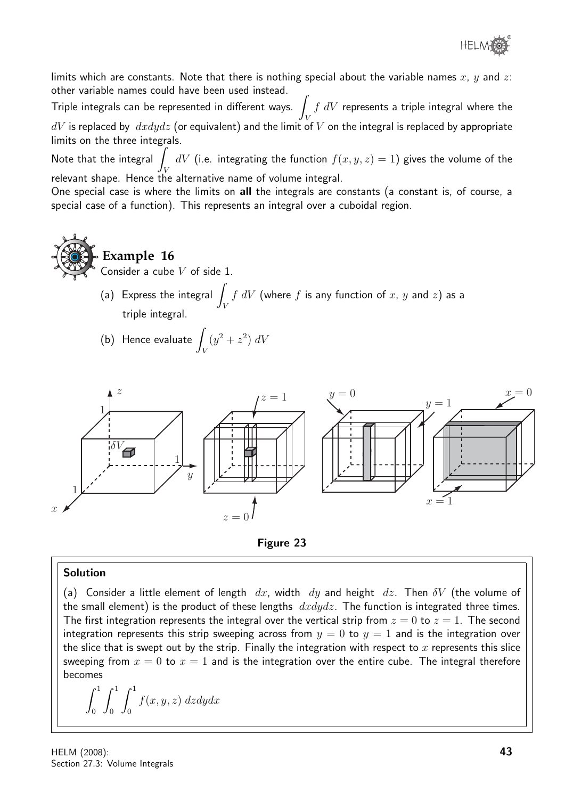

limits which are constants. Note that there is nothing special about the variable names  $x, y$  and  $z$ : other variable names could have been used instead.

Triple integrals can be represented in different ways. V  $f\ dV$  represents a triple integral where the  $dV$  is replaced by  $dx dy dz$  (or equivalent) and the limit of V on the integral is replaced by appropriate limits on the three integrals.

Note that the integral  $\overline{I}$ V  $dV$  (i.e. integrating the function  $f(x,y,z)=1)$  gives the volume of the relevant shape. Hence the alternative name of volume integral.

One special case is where the limits on all the integrals are constants (a constant is, of course, a special case of a function). This represents an integral over a cuboidal region.

**Example 16**

Consider a cube  $V$  of side 1.

- (a) Express the integral  $\overline{I}$ V  $f\ dV$  (where  $f$  is any function of  $x,\ y$  and  $z)$  as a triple integral.
- (b) Hence evaluate  $\int$ V  $(y^2 + z^2) dV$





#### Solution

(a) Consider a little element of length dx, width dy and height dz. Then  $\delta V$  (the volume of the small element) is the product of these lengths  $dxdydz$ . The function is integrated three times. The first integration represents the integral over the vertical strip from  $z = 0$  to  $z = 1$ . The second integration represents this strip sweeping across from  $y = 0$  to  $y = 1$  and is the integration over the slice that is swept out by the strip. Finally the integration with respect to  $x$  represents this slice sweeping from  $x = 0$  to  $x = 1$  and is the integration over the entire cube. The integral therefore becomes

$$
\int_0^1 \int_0^1 \int_0^1 f(x, y, z) dz dy dx
$$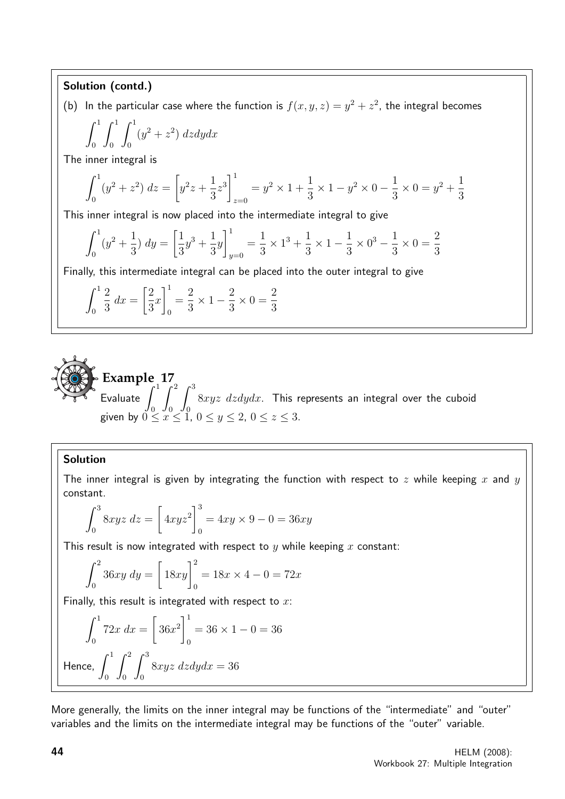## Solution (contd.)

(b) In the particular case where the function is  $f(x, y, z) = y^2 + z^2$ , the integral becomes

$$
\int_0^1 \int_0^1 \int_0^1 (y^2 + z^2) \, dz dy dx
$$

The inner integral is

$$
\int_0^1 (y^2 + z^2) dz = \left[ y^2 z + \frac{1}{3} z^3 \right]_{z=0}^1 = y^2 \times 1 + \frac{1}{3} \times 1 - y^2 \times 0 - \frac{1}{3} \times 0 = y^2 + \frac{1}{3}
$$

This inner integral is now placed into the intermediate integral to give

$$
\int_0^1 (y^2 + \frac{1}{3}) \, dy = \left[ \frac{1}{3} y^3 + \frac{1}{3} y \right]_{y=0}^1 = \frac{1}{3} \times 1^3 + \frac{1}{3} \times 1 - \frac{1}{3} \times 0^3 - \frac{1}{3} \times 0 = \frac{2}{3}
$$

Finally, this intermediate integral can be placed into the outer integral to give

$$
\int_0^1 \frac{2}{3} dx = \left[\frac{2}{3}x\right]_0^1 = \frac{2}{3} \times 1 - \frac{2}{3} \times 0 = \frac{2}{3}
$$



### Solution

The inner integral is given by integrating the function with respect to z while keeping x and y constant.

$$
\int_0^3 8xyz \, dz = \left[ 4xyz^2 \right]_0^3 = 4xy \times 9 - 0 = 36xy
$$

This result is now integrated with respect to  $y$  while keeping  $x$  constant:

$$
\int_0^2 36xy \, dy = \left[ 18xy \right]_0^2 = 18x \times 4 - 0 = 72x
$$

Finally, this result is integrated with respect to  $x$ :

$$
\int_0^1 72x \, dx = \left[ 36x^2 \right]_0^1 = 36 \times 1 - 0 = 36
$$
  
Hence, 
$$
\int_0^1 \int_0^2 \int_0^3 8xyz \, dz dy dx = 36
$$

More generally, the limits on the inner integral may be functions of the "intermediate" and "outer" variables and the limits on the intermediate integral may be functions of the "outer" variable.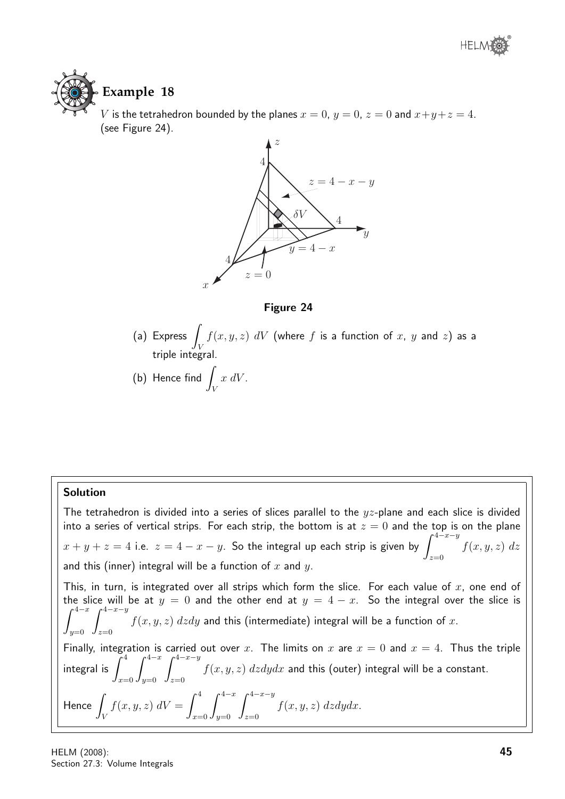

# **Example 18**

V is the tetrahedron bounded by the planes  $x = 0$ ,  $y = 0$ ,  $z = 0$  and  $x+y+z=4$ . (see Figure 24).



Figure 24

- $(a)$  Express  $\overline{\phantom{a}}$ V  $f(x,y,z)$   $dV$  (where  $f$  is a function of  $x,~y$  and  $z)$  as a triple integral.
- (b) Hence find  $\int$ V  $x dV$ .

# Solution

The tetrahedron is divided into a series of slices parallel to the  $yz$ -plane and each slice is divided into a series of vertical strips. For each strip, the bottom is at  $z = 0$  and the top is on the plane  $x+y+z=4$  i.e.  $z=4-x-y$ . So the integral up each strip is given by  $\int^{4-x-y}$  $z=0$  $f(x, y, z)$  dz and this (inner) integral will be a function of  $x$  and  $y$ . This, in turn, is integrated over all strips which form the slice. For each value of  $x$ , one end of the slice will be at  $y = 0$  and the other end at  $y = 4 - x$ . So the integral over the slice is  $\int^{4-x}$  $y=0$  $\int^{4-x-y}$  $z=0$  $f(x,y,z) \; dz dy$  and this (intermediate) integral will be a function of  $x.$ Finally, integration is carried out over x. The limits on x are  $x = 0$  and  $x = 4$ . Thus the triple integral is  $\int^4$  $x=0$  $\int^{4-x}$  $y=0$  $\int^{4-x-y}$  $z=0$  $f(x,y,z)$   $dzdydx$  and this (outer) integral will be a constant. Hence J V  $f(x, y, z) dV = \int^4$  $x=0$  $\int^{4-x}$  $y=0$  $\int^{4-x-y}$  $z=0$  $f(x, y, z)$  dzdydx.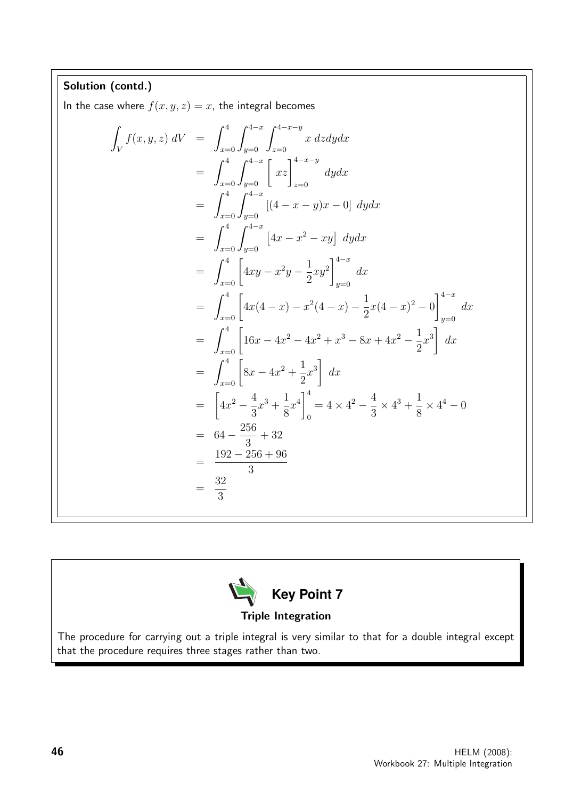Solution (contd.) In the case where  $f(x, y, z) = x$ , the integral becomes Z V  $f(x, y, z) dV = \int_0^4$  $x=0$  $\int^{4-x}$  $y=0$  $\int^{4-x-y}$  $z=0$ x dzdydx  $=$   $\int_0^4$  $x=0$  $\int_{y=0}^{4-x} \left[ xz \right]_{z=0}^{4-x-y}$  $z=0$ dydx  $=\int^4$  $x=0$  $\int^{4-x}$  $y=0$  $[(4 - x - y)x - 0]$  dydx  $=\int^4$  $x=0$  $\int^{4-x}$  $y=0$  $\left[4x - x^2 - xy\right] dy dx$  $= \int_{x=0}^{4}$  $4xy - x^2y - \frac{1}{2}$ 2  $xy^2$  $\big]^{4-x}$  $y=0$  $dx$  $= \int_{x=0}^{4}$  $4x(4-x) - x^2(4-x) - \frac{1}{2}$ 2  $x(4-x)^2-0$  $\big]^{4-x}$  $y=0$  $dx$  $= \int_{x=0}^{4}$  $16x - 4x^2 - 4x^2 + x^3 - 8x + 4x^2 - \frac{1}{2}$ 2  $x^3$  $dx$  $= \int_{x=0}^{4}$  $8x - 4x^2 + \frac{1}{2}$ 2  $x^3$  $dx$ =  $\sqrt{ }$  $4x^2-\frac{4}{5}$ 3  $x^3 + \frac{1}{2}$ 8  $x^4\Big|^4$ 0  $= 4 \times 4^2 - \frac{4}{2}$ 3  $\times$  4<sup>3</sup> +  $\frac{1}{2}$ 8  $\times$  4<sup>4</sup> – 0  $= 64 - \frac{256}{9}$ 3 + 32 = 192 − 256 + 96 3 = 32 3



The procedure for carrying out a triple integral is very similar to that for a double integral except that the procedure requires three stages rather than two.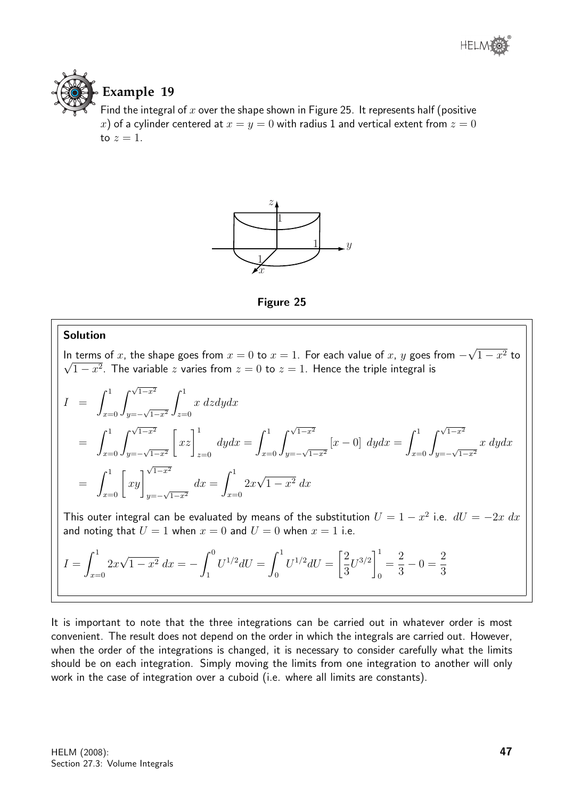

# **Example 19**

Find the integral of  $x$  over the shape shown in Figure 25. It represents half (positive x) of a cylinder centered at  $x = y = 0$  with radius 1 and vertical extent from  $z = 0$ to  $z=1$ .





#### Solution

In terms of x, the shape goes from  $x = 0$  to  $x = 1$ . For each value of x, y goes from  $-$ √ In terms of x, the shape goes from  $x = 0$  to  $x = 1$ . For each value of x, y goes from  $-\sqrt{1-x^2}$  to  $\overline{1-x^2}.$  The variable  $z$  varies from  $z=0$  to  $z=1.$  Hence the triple integral is

$$
I = \int_{x=0}^{1} \int_{y=-\sqrt{1-x^2}}^{\sqrt{1-x^2}} \int_{z=0}^{1} x \, dz dy dx
$$
  
\n
$$
= \int_{x=0}^{1} \int_{y=-\sqrt{1-x^2}}^{\sqrt{1-x^2}} \left[ xz \right]_{z=0}^{1} dy dx = \int_{x=0}^{1} \int_{y=-\sqrt{1-x^2}}^{\sqrt{1-x^2}} [x-0] dy dx = \int_{x=0}^{1} \int_{y=-\sqrt{1-x^2}}^{\sqrt{1-x^2}} x \, dy dx
$$
  
\n
$$
= \int_{x=0}^{1} \left[ xy \right]_{y=-\sqrt{1-x^2}}^{\sqrt{1-x^2}} dx = \int_{x=0}^{1} 2x\sqrt{1-x^2} dx
$$

This outer integral can be evaluated by means of the substitution  $U = 1 - x^2$  i.e.  $dU = -2x \; dx$ and noting that  $U = 1$  when  $x = 0$  and  $U = 0$  when  $x = 1$  i.e.

$$
I = \int_{x=0}^{1} 2x\sqrt{1-x^2} \, dx = -\int_{1}^{0} U^{1/2} dU = \int_{0}^{1} U^{1/2} dU = \left[\frac{2}{3}U^{3/2}\right]_{0}^{1} = \frac{2}{3} - 0 = \frac{2}{3}
$$

It is important to note that the three integrations can be carried out in whatever order is most convenient. The result does not depend on the order in which the integrals are carried out. However, when the order of the integrations is changed, it is necessary to consider carefully what the limits should be on each integration. Simply moving the limits from one integration to another will only work in the case of integration over a cuboid (i.e. where all limits are constants).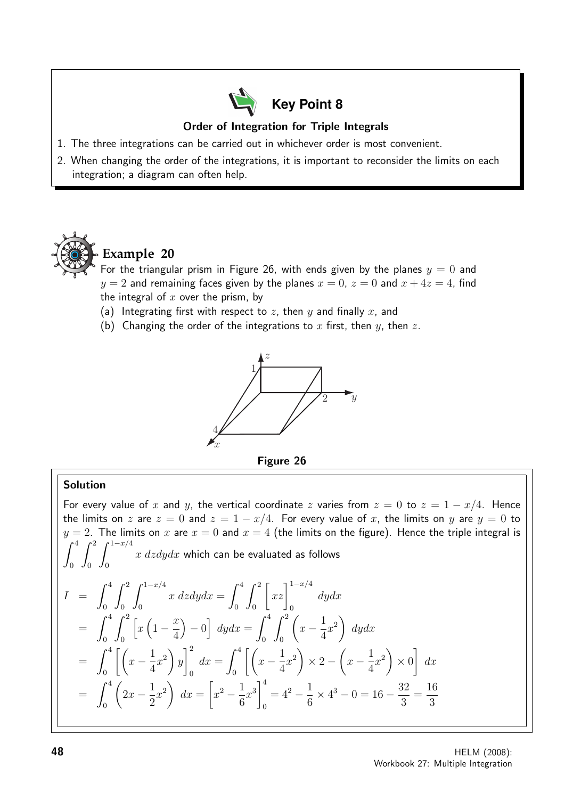

## Order of Integration for Triple Integrals

- 1. The three integrations can be carried out in whichever order is most convenient.
- 2. When changing the order of the integrations, it is important to reconsider the limits on each integration; a diagram can often help.



# **Example 20**

For the triangular prism in Figure 26, with ends given by the planes  $y = 0$  and  $y = 2$  and remaining faces given by the planes  $x = 0$ ,  $z = 0$  and  $x + 4z = 4$ , find the integral of  $x$  over the prism, by

- (a) Integrating first with respect to z, then y and finally x, and
- (b) Changing the order of the integrations to x first, then y, then z.



## Solution

For every value of x and y, the vertical coordinate z varies from  $z = 0$  to  $z = 1 - x/4$ . Hence the limits on z are  $z = 0$  and  $z = 1 - x/4$ . For every value of x, the limits on y are  $y = 0$  to  $y = 2$ . The limits on x are  $x = 0$  and  $x = 4$  (the limits on the figure). Hence the triple integral is  $\int_0^4$  $\boldsymbol{0}$  $\int_0^2$ 0  $\int_0^{1-x/4}$ 0  $x\;dzdydx$  which can be evaluated as follows  $I = \int^4$ 0  $\int_0^2$ 0  $\int_0^{1-x/4}$ 0  $x \, dz dy dx = \int^4$ 0  $\int_0^2$ 0  $\left[xz\right]^{1-x/4}$ 0 dydx  $=$   $\int_0^4$ 0  $\int_0^2$ 0  $\left[x\left(1-\frac{x}{4}\right)\right]$ 4  $\Big) - 0 \Big] dy dx = \int_0^4$ 0  $\int_0^2$ 0  $\sqrt{ }$  $x-\frac{1}{4}$ 4  $x^2$ dydx  $=\int^4$ 0  $\left[\left(x-\frac{1}{4}\right)\right]$ 4  $x^2$  $\hat{y}$  $\vert$ <sup>2</sup>  $\mathbf{0}$  $dx = \int^4$ 0  $\left[\left(x-\frac{1}{4}\right)\right]$ 4  $x^2$  $\times$  2  $\sqrt{ }$  $x-\frac{1}{4}$ 4  $x^2$  $\times$  0 1  $dx$  $=\int^4$  $\boldsymbol{0}$  $\sqrt{ }$  $2x - \frac{1}{2}$ 2  $x^2$  $dx =$  $\sqrt{ }$  $x^2 - \frac{1}{2}$ 6  $x^3\Big|^4$ 0  $= 4^2 - \frac{1}{a}$ 6  $\times$  4<sup>3</sup> – 0 = 16 –  $\frac{32}{3}$ 3 = 16 3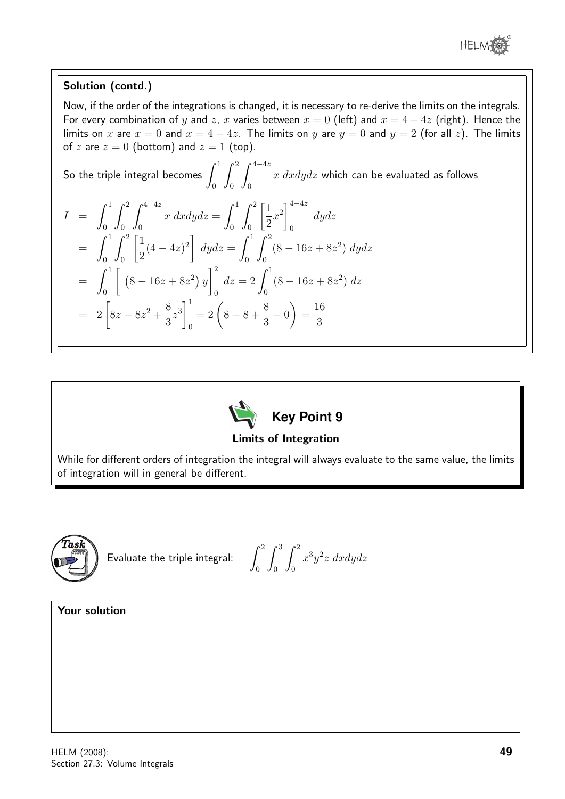

## Solution (contd.)

Now, if the order of the integrations is changed, it is necessary to re-derive the limits on the integrals. For every combination of y and z, x varies between  $x = 0$  (left) and  $x = 4 - 4z$  (right). Hence the limits on x are  $x = 0$  and  $x = 4 - 4z$ . The limits on y are  $y = 0$  and  $y = 2$  (for all z). The limits of z are  $z = 0$  (bottom) and  $z = 1$  (top).

So the triple integral becomes 
$$
\int_0^1 \int_0^2 \int_0^{4-4z} x \, dxdydz
$$
 which can be evaluated as follows  
\n
$$
I = \int_0^1 \int_0^2 \int_0^{4-4z} x \, dxdydz = \int_0^1 \int_0^2 \left[ \frac{1}{2} x^2 \right]_0^{4-4z} dydz
$$
\n
$$
= \int_0^1 \int_0^2 \left[ \frac{1}{2} (4-4z)^2 \right] dydz = \int_0^1 \int_0^2 (8-16z+8z^2) dydz
$$
\n
$$
= \int_0^1 \left[ (8-16z+8z^2) y \right]_0^2 dz = 2 \int_0^1 (8-16z+8z^2) dz
$$
\n
$$
= 2 \left[ 8z - 8z^2 + \frac{8}{3}z^3 \right]_0^1 = 2 \left( 8 - 8 + \frac{8}{3} - 0 \right) = \frac{16}{3}
$$



## Limits of Integration

While for different orders of integration the integral will always evaluate to the same value, the limits of integration will in general be different.



Evaluate the triple integral:  $\int^2$ 

0  $\int^3$ 0  $\int_0^2$ 0  $x^3y^2z$  dxdydz

## Your solution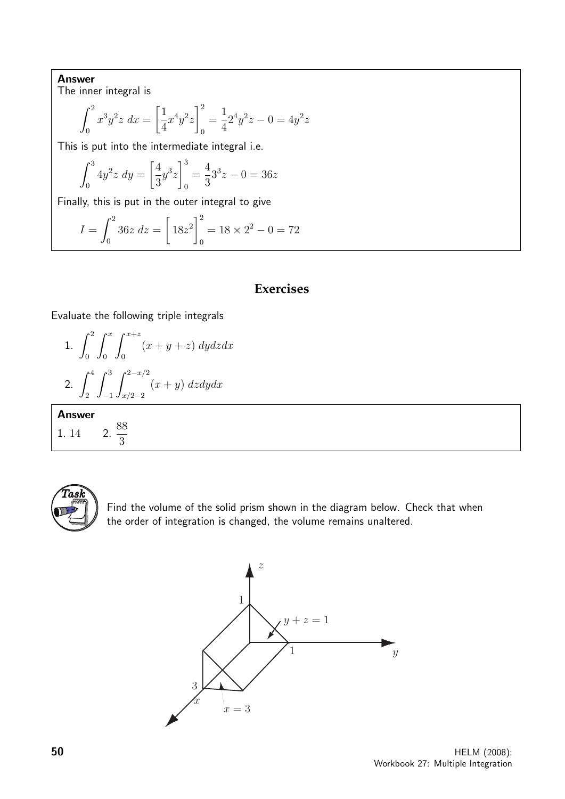Answer

The inner integral is

$$
\int_0^2 x^3 y^2 z \, dx = \left[ \frac{1}{4} x^4 y^2 z \right]_0^2 = \frac{1}{4} 2^4 y^2 z - 0 = 4y^2 z
$$

This is put into the intermediate integral i.e.

$$
\int_0^3 4y^2 z \, dy = \left[\frac{4}{3}y^3 z\right]_0^3 = \frac{4}{3}3^3 z - 0 = 36z
$$

Finally, this is put in the outer integral to give

$$
I = \int_0^2 36z \, dz = \left[ 18z^2 \right]_0^2 = 18 \times 2^2 - 0 = 72
$$

# **Exercises**

Evaluate the following triple integrals

1. 
$$
\int_0^2 \int_0^x \int_0^{x+z} (x+y+z) \, dy dz dx
$$
  
2. 
$$
\int_2^4 \int_{-1}^3 \int_{x/2-2}^{2-x/2} (x+y) \, dz dy dx
$$

Answer

1. 14 2. 88 3



Find the volume of the solid prism shown in the diagram below. Check that when the order of integration is changed, the volume remains unaltered.

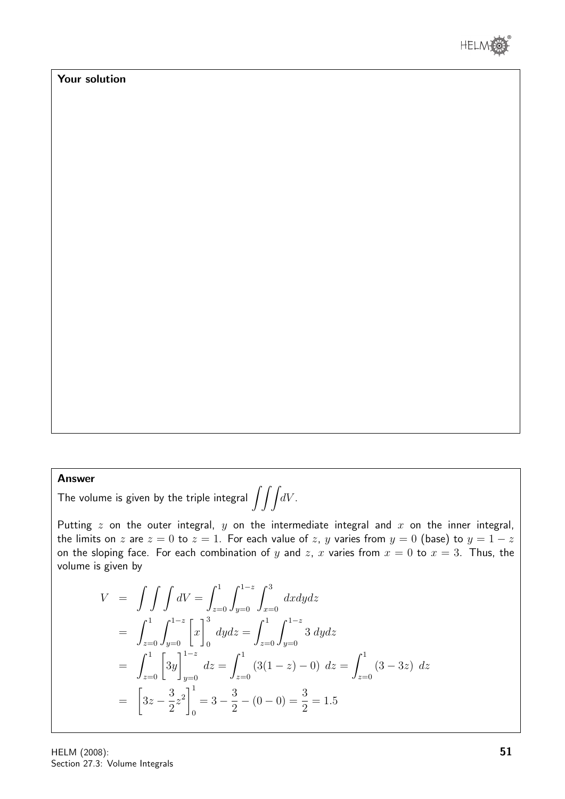

# Your solution

## Answer

The volume is given by the triple integral  $\int\!\!\int\!\!\int\! dV$  .

Putting  $z$  on the outer integral,  $y$  on the intermediate integral and  $x$  on the inner integral, the limits on z are  $z = 0$  to  $z = 1$ . For each value of z, y varies from  $y = 0$  (base) to  $y = 1 - z$ on the sloping face. For each combination of y and z, x varies from  $x = 0$  to  $x = 3$ . Thus, the volume is given by

$$
V = \int \int \int dV = \int_{z=0}^{1} \int_{y=0}^{1-z} \int_{x=0}^{3} dx dy dz
$$
  
\n
$$
= \int_{z=0}^{1} \int_{y=0}^{1-z} \left[ x \right]_{0}^{3} dy dz = \int_{z=0}^{1} \int_{y=0}^{1-z} 3 dy dz
$$
  
\n
$$
= \int_{z=0}^{1} \left[ 3y \right]_{y=0}^{1-z} dz = \int_{z=0}^{1} (3(1-z) - 0) dz = \int_{z=0}^{1} (3-3z) dz
$$
  
\n
$$
= \left[ 3z - \frac{3}{2} z^{2} \right]_{0}^{1} = 3 - \frac{3}{2} - (0 - 0) = \frac{3}{2} = 1.5
$$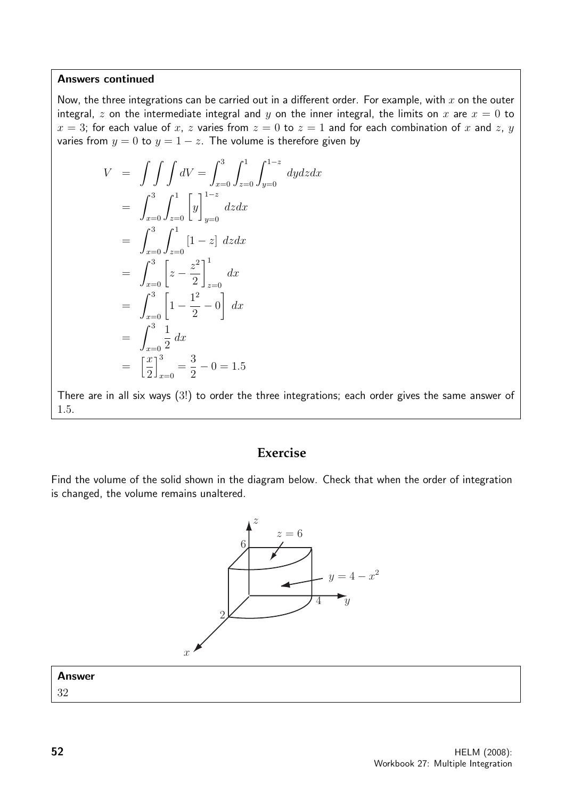#### Answers continued

Now, the three integrations can be carried out in a different order. For example, with  $x$  on the outer integral, z on the intermediate integral and y on the inner integral, the limits on x are  $x = 0$  to  $x = 3$ ; for each value of x, z varies from  $z = 0$  to  $z = 1$  and for each combination of x and z, y varies from  $y = 0$  to  $y = 1 - z$ . The volume is therefore given by

$$
V = \int \int \int dV = \int_{x=0}^{3} \int_{z=0}^{1-z} \int_{y=0}^{1-z} dydzdx
$$
  
\n
$$
= \int_{x=0}^{3} \int_{z=0}^{1} \left[y\right]_{y=0}^{1-z} dzdx
$$
  
\n
$$
= \int_{x=0}^{3} \int_{z=0}^{1} \left[1-z\right] dzdx
$$
  
\n
$$
= \int_{x=0}^{3} \left[z - \frac{z^{2}}{2}\right]_{z=0}^{1} dx
$$
  
\n
$$
= \int_{x=0}^{3} \left[1 - \frac{1^{2}}{2} - 0\right] dx
$$
  
\n
$$
= \int_{x=0}^{3} \frac{1}{2} dx
$$
  
\n
$$
= \left[\frac{x}{2}\right]_{x=0}^{3} = \frac{3}{2} - 0 = 1.5
$$

There are in all six ways (3!) to order the three integrations; each order gives the same answer of 1.5.

# **Exercise**

Find the volume of the solid shown in the diagram below. Check that when the order of integration is changed, the volume remains unaltered.



| <b>Answer</b> |  |
|---------------|--|
| 32            |  |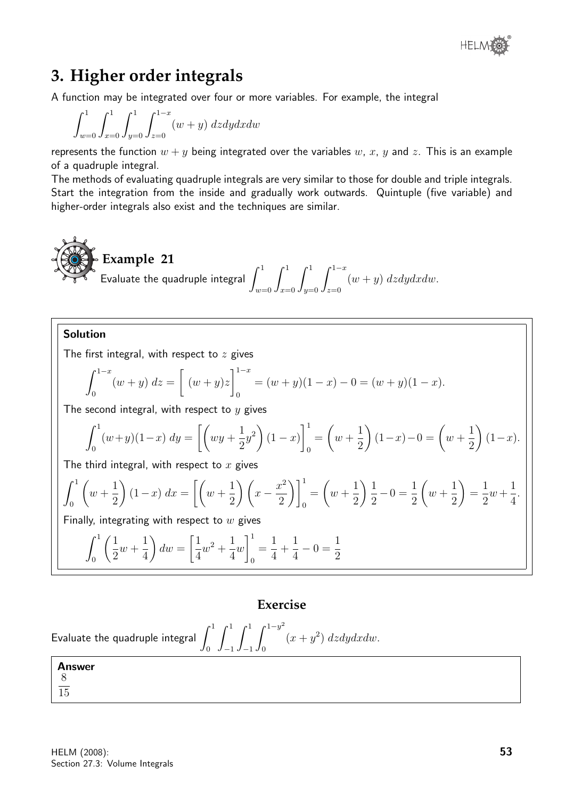# **3. Higher order integrals**

A function may be integrated over four or more variables. For example, the integral

$$
\int_{w=0}^{1} \int_{x=0}^{1} \int_{y=0}^{1} \int_{z=0}^{1-x} (w+y) \ dz dy dx dw
$$

represents the function  $w + y$  being integrated over the variables w, x, y and z. This is an example of a quadruple integral.

The methods of evaluating quadruple integrals are very similar to those for double and triple integrals. Start the integration from the inside and gradually work outwards. Quintuple (five variable) and higher-order integrals also exist and the techniques are similar.

**Example 21**  
Evaluate the quadruple integral 
$$
\int_{w=0}^{1} \int_{x=0}^{1} \int_{y=0}^{1} \int_{z=0}^{1-x} (w+y) dz dy dx dw.
$$

## Solution

The first integral, with respect to  $z$  gives

$$
\int_0^{1-x} (w+y) dz = \left[ (w+y)z \right]_0^{1-x} = (w+y)(1-x) - 0 = (w+y)(1-x).
$$

The second integral, with respect to  $y$  gives

$$
\int_0^1 (w+y)(1-x) \, dy = \left[ \left( wy + \frac{1}{2}y^2 \right)(1-x) \right]_0^1 = \left( w + \frac{1}{2} \right)(1-x) - 0 = \left( w + \frac{1}{2} \right)(1-x).
$$

The third integral, with respect to  $x$  gives

$$
\int_0^1 \left( w + \frac{1}{2} \right) (1 - x) dx = \left[ \left( w + \frac{1}{2} \right) \left( x - \frac{x^2}{2} \right) \right]_0^1 = \left( w + \frac{1}{2} \right) \frac{1}{2} - 0 = \frac{1}{2} \left( w + \frac{1}{2} \right) = \frac{1}{2} w + \frac{1}{4}.
$$

Finally, integrating with respect to  $w$  gives

$$
\int_0^1 \left(\frac{1}{2}w + \frac{1}{4}\right) dw = \left[\frac{1}{4}w^2 + \frac{1}{4}w\right]_0^1 = \frac{1}{4} + \frac{1}{4} - 0 = \frac{1}{2}
$$

# **Exercise**

```
Evaluate the quadruple integral \,\int^10
                                           \int_0^1−1
                                                 \int_0^1−1
                                                       \int<sup>1-y<sup>2</sup></sup>
                                                         0
                                                                 (x+y^2) dzdydxdw.
```

| Answer |  |  |
|--------|--|--|
| -8     |  |  |
| 15     |  |  |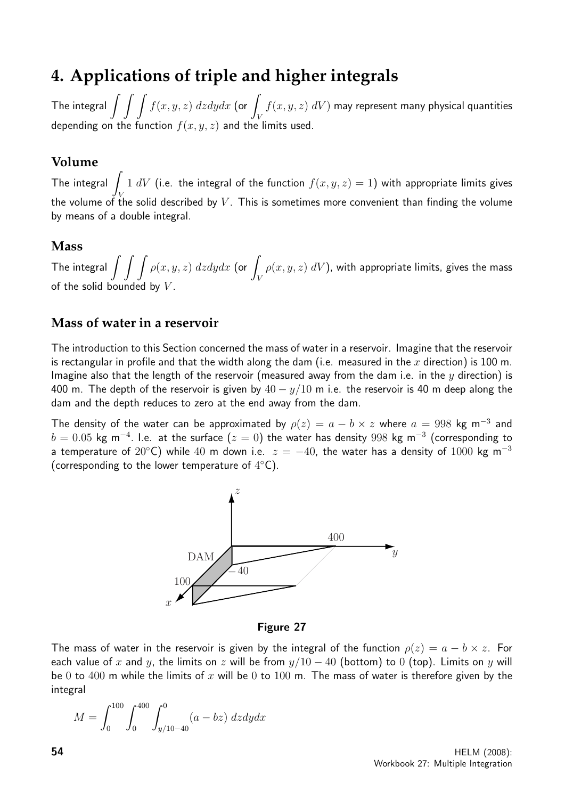# **4. Applications of triple and higher integrals**

The integral  $\int\int\int f(x,y,z)\ dz dy dx$  (or  $\int$ V  $f(x,y,z) \; dV)$  may represent many physical quantities depending on the function  $f(x, y, z)$  and the limits used.

# **Volume**

The integral  $\overline{I}$ V 1  $dV$  (i.e. the integral of the function  $f(x, y, z) = 1$ ) with appropriate limits gives the volume of the solid described by  $V$ . This is sometimes more convenient than finding the volume by means of a double integral.

# **Mass**

The integral  $\int\int\int\rho(x,y,z)\ dz dy dx$  (or  $\int$ V  $\rho(x,y,z)$   $dV)$ , with appropriate limits, gives the mass of the solid bounded by

# **Mass of water in a reservoir**

The introduction to this Section concerned the mass of water in a reservoir. Imagine that the reservoir is rectangular in profile and that the width along the dam (i.e. measured in the x direction) is 100 m. Imagine also that the length of the reservoir (measured away from the dam i.e. in the  $y$  direction) is 400 m. The depth of the reservoir is given by  $40 - y/10$  m i.e. the reservoir is 40 m deep along the dam and the depth reduces to zero at the end away from the dam.

The density of the water can be approximated by  $\rho(z) = a - b \times z$  where  $a = 998$  kg m<sup>-3</sup> and  $b=0.05$  kg m $^{-4}$ . I.e. at the surface  $(z=0)$  the water has density  $998$  kg m $^{-3}$  (corresponding to a temperature of 20°C) while 40 m down i.e.  $z = -40$ , the water has a density of 1000 kg m<sup>-3</sup> (corresponding to the lower temperature of  $4^{\circ}$ C).



Figure 27

The mass of water in the reservoir is given by the integral of the function  $\rho(z) = a - b \times z$ . For each value of x and y, the limits on z will be from  $y/10 - 40$  (bottom) to 0 (top). Limits on y will be 0 to 400 m while the limits of x will be 0 to 100 m. The mass of water is therefore given by the integral

$$
M = \int_0^{100} \int_0^{400} \int_{y/10-40}^0 (a - bz) dz dy dx
$$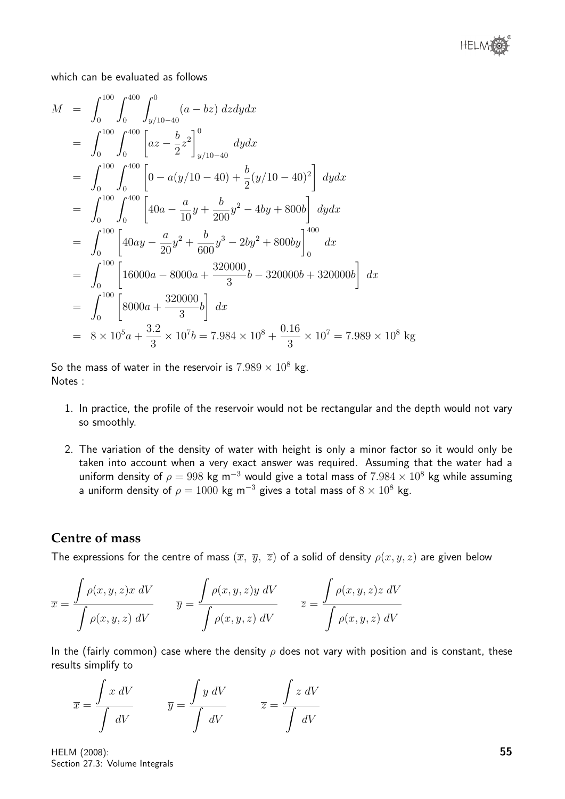

which can be evaluated as follows

$$
M = \int_{0}^{100} \int_{0}^{400} \int_{y/10-40}^{0} (a - bz) dz dy dx
$$
  
\n
$$
= \int_{0}^{100} \int_{0}^{400} \left[ a z - \frac{b}{2} z^{2} \right]_{y/10-40}^{0} dy dx
$$
  
\n
$$
= \int_{0}^{100} \int_{0}^{400} \left[ 0 - a(y/10 - 40) + \frac{b}{2} (y/10 - 40)^{2} \right] dy dx
$$
  
\n
$$
= \int_{0}^{100} \int_{0}^{400} \left[ 40a - \frac{a}{10} y + \frac{b}{200} y^{2} - 4by + 800b \right] dy dx
$$
  
\n
$$
= \int_{0}^{100} \left[ 40ay - \frac{a}{20} y^{2} + \frac{b}{600} y^{3} - 2by^{2} + 800by \right]_{0}^{400} dx
$$
  
\n
$$
= \int_{0}^{100} \left[ 16000a - 8000a + \frac{320000}{3}b - 320000b + 320000b \right] dx
$$
  
\n
$$
= \int_{0}^{100} \left[ 8000a + \frac{320000}{3}b \right] dx
$$
  
\n
$$
= 8 \times 10^{5} a + \frac{3 \cdot 2}{3} \times 10^{7} b = 7.984 \times 10^{8} + \frac{0.16}{3} \times 10^{7} = 7.989 \times 10^{8} \text{ kg}
$$

So the mass of water in the reservoir is  $7.989 \times 10^8$  kg. Notes :

- 1. In practice, the profile of the reservoir would not be rectangular and the depth would not vary so smoothly.
- 2. The variation of the density of water with height is only a minor factor so it would only be taken into account when a very exact answer was required. Assuming that the water had a uniform density of  $\rho = 998$  kg m<sup>-3</sup> would give a total mass of  $7.984 \times 10^8$  kg while assuming a uniform density of  $\rho = 1000$  kg m $^{-3}$  gives a total mass of  $8 \times 10^8$  kg.

## **Centre of mass**

The expressions for the centre of mass  $(\overline{x}, \overline{y}, \overline{z})$  of a solid of density  $\rho(x, y, z)$  are given below

$$
\overline{x} = \frac{\int \rho(x, y, z) x \, dV}{\int \rho(x, y, z) \, dV} \qquad \overline{y} = \frac{\int \rho(x, y, z) y \, dV}{\int \rho(x, y, z) \, dV} \qquad \overline{z} = \frac{\int \rho(x, y, z) z \, dV}{\int \rho(x, y, z) \, dV}
$$

In the (fairly common) case where the density  $\rho$  does not vary with position and is constant, these results simplify to

$$
\overline{x} = \frac{\int x \, dV}{\int \, dV} \qquad \overline{y} = \frac{\int y \, dV}{\int \, dV} \qquad \overline{z} = \frac{\int z \, dV}{\int \, dV}
$$

HELM (2008): Section 27.3: Volume Integrals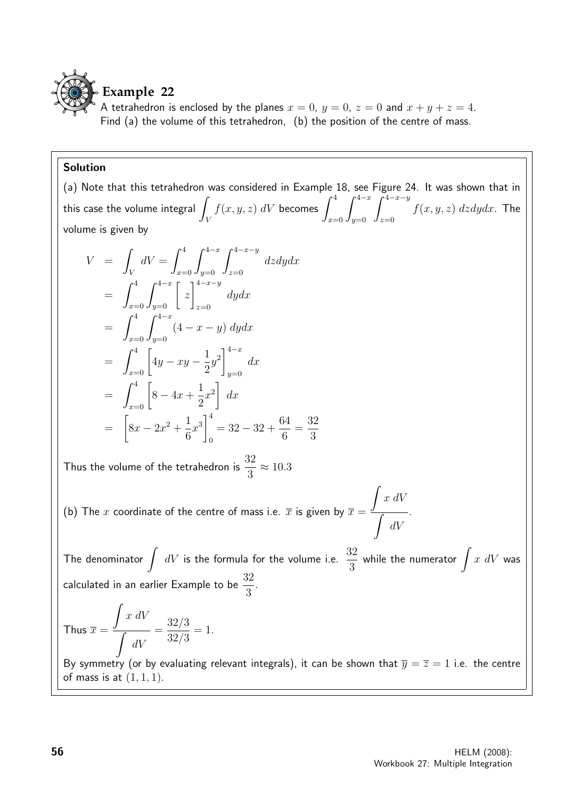

# **Example 22**

A tetrahedron is enclosed by the planes  $x = 0$ ,  $y = 0$ ,  $z = 0$  and  $x + y + z = 4$ . Find (a) the volume of this tetrahedron, (b) the position of the centre of mass.

## Solution

(a) Note that this tetrahedron was considered in Example 18, see Figure 24. It was shown that in this case the volume integral  $\overline{\phantom{a}}$ V  $f(x, y, z)$   $dV$  becomes  $\int_0^4$  $x=0$  $\int^{4-x}$  $y=0$  $\int^{4-x-y}$  $z=0$  $f(x, y, z)$  dzdydx. The volume is given by

$$
V = \int_{V} dV = \int_{x=0}^{4} \int_{y=0}^{4-x} \int_{z=0}^{4-x-y} dz dy dx
$$
  
\n
$$
= \int_{x=0}^{4} \int_{y=0}^{4-x} \left[ z \right]_{z=0}^{4-x-y} dy dx
$$
  
\n
$$
= \int_{x=0}^{4} \int_{y=0}^{4-x} (4-x-y) dy dx
$$
  
\n
$$
= \int_{x=0}^{4} \left[ 4y - xy - \frac{1}{2}y^2 \right]_{y=0}^{4-x} dx
$$
  
\n
$$
= \int_{x=0}^{4} \left[ 8 - 4x + \frac{1}{2}x^2 \right] dx
$$
  
\n
$$
= \left[ 8x - 2x^2 + \frac{1}{6}x^3 \right]_{0}^{4} = 32 - 32 + \frac{64}{6} = \frac{32}{3}
$$

Thus the volume of the tetrahedron is  $\frac{32}{2}$ 3  $\approx 10.3$ 

(b) The  $x$  coordinate of the centre of mass i.e.  $\overline{x}$  is given by  $\overline{x} =$  $\int x dV$  $\int dV$ .

The denominator  $\int dV$  is the formula for the volume i.e.  $\frac{32}{2}$ 3 while the numerator  $\int x\ dV$  was calculated in an earlier Example to be  $\frac{32}{2}$ 3 .

Thus 
$$
\overline{x} = \frac{\int x \ dV}{\int dV} = \frac{32/3}{32/3} = 1.
$$

By symmetry (or by evaluating relevant integrals), it can be shown that  $\overline{y} = \overline{z} = 1$  i.e. the centre of mass is at  $(1, 1, 1)$ .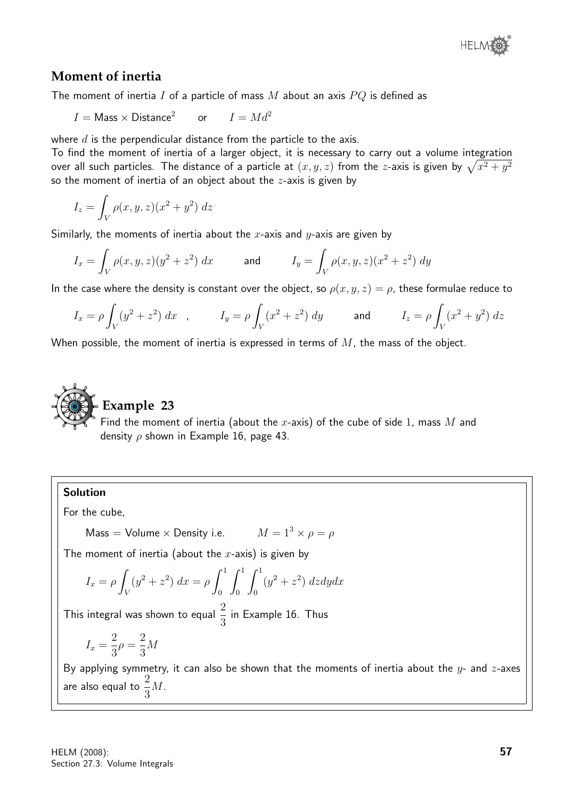

# **Moment of inertia**

The moment of inertia I of a particle of mass  $M$  about an axis  $PQ$  is defined as

 $I =$ Mass  $\times$  Distance<sup>2</sup> or  $I = Md^2$ 

where  $d$  is the perpendicular distance from the particle to the axis.

To find the moment of inertia of a larger object, it is necessary to carry out a volume integration over all such particles. The distance of a particle at  $(x,y,z)$  from the  $z$ -axis is given by  $\sqrt{x^2 + y^2}$ so the moment of inertia of an object about the  $z$ -axis is given by

$$
I_z = \int_V \rho(x, y, z)(x^2 + y^2) dz
$$

Similarly, the moments of inertia about the x-axis and  $y$ -axis are given by

$$
I_x = \int_V \rho(x, y, z)(y^2 + z^2) \, dx \qquad \text{and} \qquad I_y = \int_V \rho(x, y, z)(x^2 + z^2) \, dy
$$

In the case where the density is constant over the object, so  $\rho(x, y, z) = \rho$ , these formulae reduce to

$$
I_x = \rho \int_V (y^2 + z^2) dx
$$
,  $I_y = \rho \int_V (x^2 + z^2) dy$  and  $I_z = \rho \int_V (x^2 + y^2) dz$ 

When possible, the moment of inertia is expressed in terms of  $M$ , the mass of the object.

# **Example 23**

Find the moment of inertia (about the x-axis) of the cube of side 1, mass  $M$  and density  $\rho$  shown in Example 16, page 43.

## Solution

For the cube,

Mass = Volume × Density i.e. 
$$
M = 1^3 \times \rho = \rho
$$

The moment of inertia (about the  $x$ -axis) is given by

$$
I_x = \rho \int_V (y^2 + z^2) \, dx = \rho \int_0^1 \int_0^1 \int_0^1 (y^2 + z^2) \, dz dy dx
$$

This integral was shown to equal  $\frac{2}{2}$ 3 in Example 16. Thus

$$
I_x = \frac{2}{3}\rho = \frac{2}{3}M
$$

By applying symmetry, it can also be shown that the moments of inertia about the  $y$ - and  $z$ -axes are also equal to  $\frac{2}{3}$ 3  $M$ .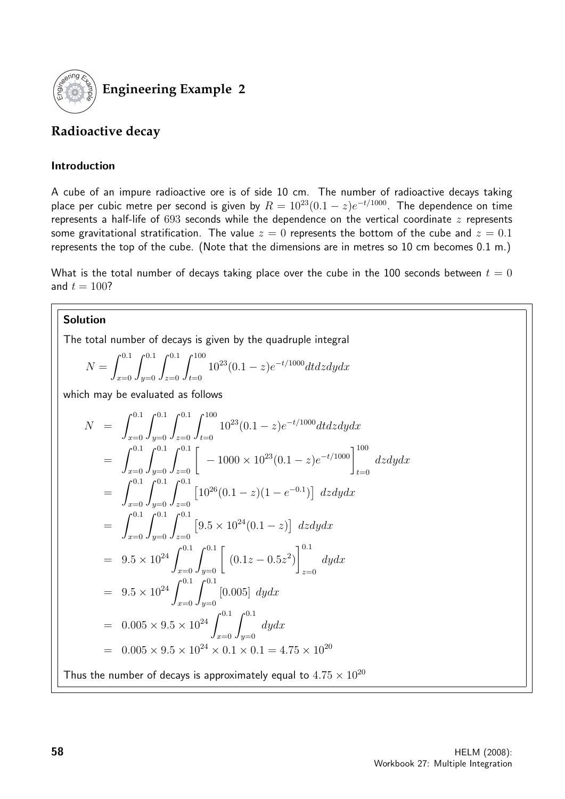

**Engineering Example 2**

# **Radioactive decay**

## Introduction

A cube of an impure radioactive ore is of side 10 cm. The number of radioactive decays taking place per cubic metre per second is given by  $R = 10^{23}(0.1 - z)e^{-t/1000}$ . The dependence on time represents a half-life of  $693$  seconds while the dependence on the vertical coordinate  $z$  represents some gravitational stratification. The value  $z = 0$  represents the bottom of the cube and  $z = 0.1$ represents the top of the cube. (Note that the dimensions are in metres so 10 cm becomes 0.1 m.)

What is the total number of decays taking place over the cube in the 100 seconds between  $t = 0$ and  $t = 100$ ?

## **Solution**

The total number of decays is given by the quadruple integral

$$
N = \int_{x=0}^{0.1} \int_{y=0}^{0.1} \int_{z=0}^{0.1} \int_{t=0}^{100} 10^{23} (0.1 - z) e^{-t/1000} dt dz dy dx
$$

which may be evaluated as follows

$$
N = \int_{x=0}^{0.1} \int_{y=0}^{0.1} \int_{z=0}^{0.1} \int_{t=0}^{100} 10^{23} (0.1 - z) e^{-t/1000} dt dz dy dx
$$
  
\n
$$
= \int_{x=0}^{0.1} \int_{y=0}^{0.1} \int_{z=0}^{0.1} \left[ -1000 \times 10^{23} (0.1 - z) e^{-t/1000} \right]_{t=0}^{100} dz dy dx
$$
  
\n
$$
= \int_{x=0}^{0.1} \int_{y=0}^{0.1} \int_{z=0}^{0.1} \left[ 10^{26} (0.1 - z) (1 - e^{-0.1}) \right] dz dy dx
$$
  
\n
$$
= \int_{x=0}^{0.1} \int_{y=0}^{0.1} \int_{z=0}^{0.1} \left[ 9.5 \times 10^{24} (0.1 - z) \right] dz dy dx
$$
  
\n
$$
= 9.5 \times 10^{24} \int_{x=0}^{0.1} \int_{y=0}^{0.1} \left[ (0.1z - 0.5z^2) \right]_{z=0}^{0.1} dy dx
$$
  
\n
$$
= 9.5 \times 10^{24} \int_{x=0}^{0.1} \int_{y=0}^{0.1} \left[ 0.005 \right] dy dx
$$
  
\n
$$
= 0.005 \times 9.5 \times 10^{24} \int_{x=0}^{0.1} \int_{y=0}^{0.1} dy dx
$$
  
\n
$$
= 0.005 \times 9.5 \times 10^{24} \times 0.1 \times 0.1 = 4.75 \times 10^{20}
$$
  
\nThus the number of decays is approximately equal to 4.75 × 10<sup>20</sup>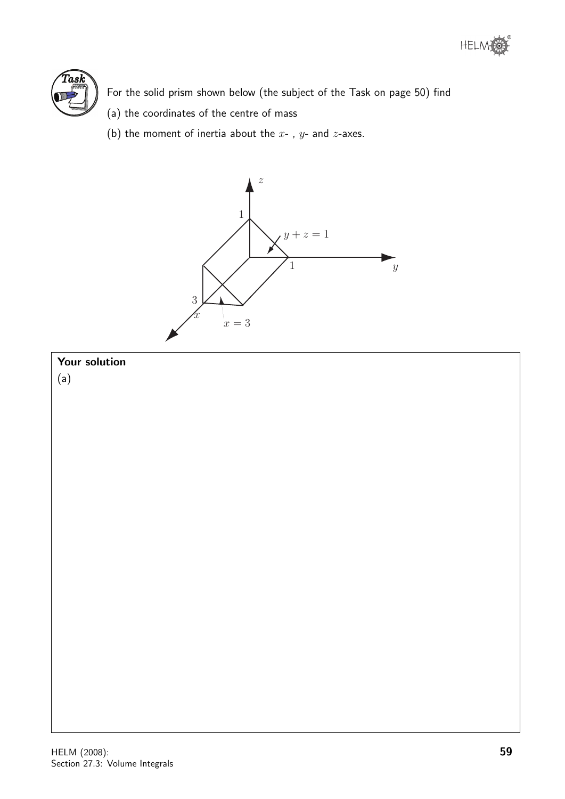



For the solid prism shown below (the subject of the Task on page 50) find

- (a) the coordinates of the centre of mass
- (b) the moment of inertia about the  $x$ -,  $y$  and  $z$ -axes.



# Your solution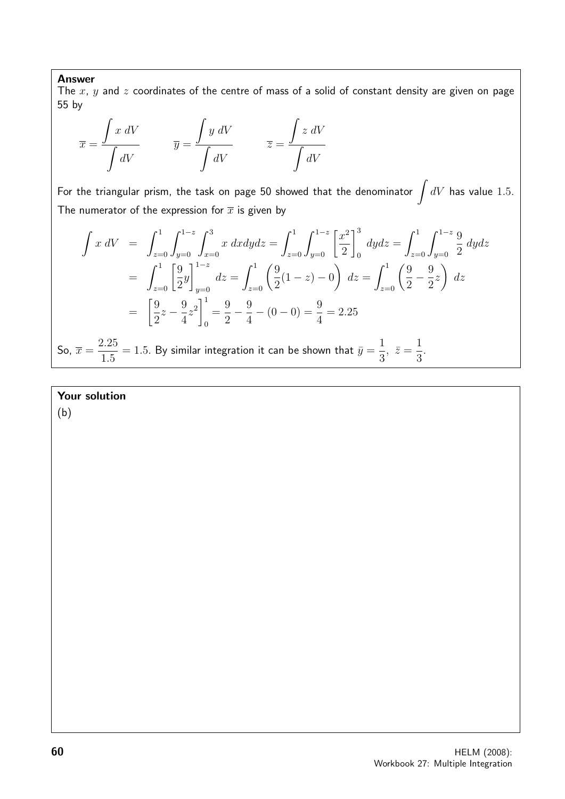#### Answer

The  $x$ ,  $y$  and  $z$  coordinates of the centre of mass of a solid of constant density are given on page 55 by

$$
\overline{x} = \frac{\int x \, dV}{\int dV} \qquad \overline{y} = \frac{\int y \, dV}{\int dV} \qquad \overline{z} = \frac{\int z \, dV}{\int dV}
$$

For the triangular prism, the task on page 50 showed that the denominator  $\int dV$  has value 1.5. The numerator of the expression for  $\bar{x}$  is given by

$$
\int x \, dV = \int_{z=0}^{1} \int_{y=0}^{1-z} \int_{x=0}^{3} x \, dxdydz = \int_{z=0}^{1} \int_{y=0}^{1-z} \left[ \frac{x^2}{2} \right]_{0}^{3} \, dydz = \int_{z=0}^{1} \int_{y=0}^{1-z} \frac{9}{2} \, dydz
$$

$$
= \int_{z=0}^{1} \left[ \frac{9}{2}y \right]_{y=0}^{1-z} dz = \int_{z=0}^{1} \left( \frac{9}{2}(1-z) - 0 \right) \, dz = \int_{z=0}^{1} \left( \frac{9}{2} - \frac{9}{2}z \right) \, dz
$$

$$
= \left[ \frac{9}{2}z - \frac{9}{4}z^2 \right]_{0}^{1} = \frac{9}{2} - \frac{9}{4} - (0 - 0) = \frac{9}{4} = 2.25
$$

So,  $\overline{x} =$ 2.25 1.5  $= 1.5.$  By similar integration it can be shown that  $\bar{y} =$ 1 3 ,  $\bar{z} =$ 1 3 .

## Your solution

(b)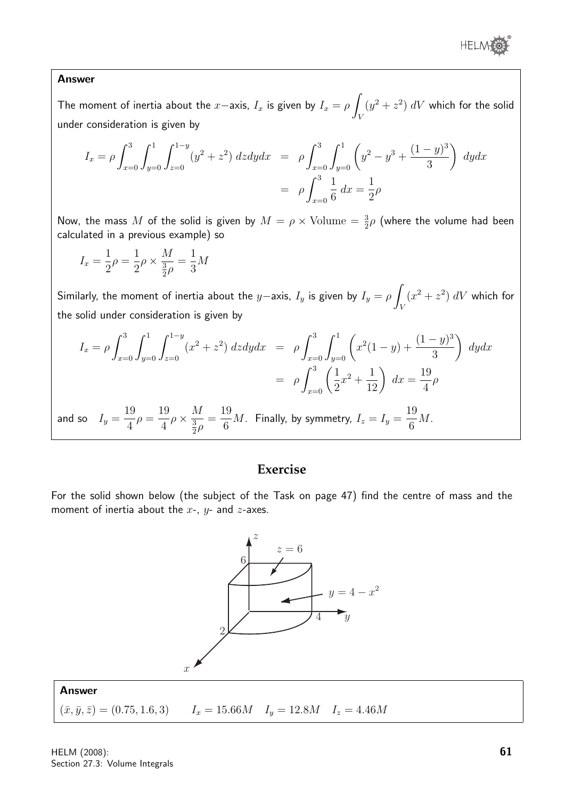

#### Answer

The moment of inertia about the  $x$ −axis,  $I_x$  is given by  $I_x = \rho$ V  $(y^2 + z^2)$  dV which for the solid under consideration is given by

$$
I_x = \rho \int_{x=0}^3 \int_{y=0}^1 \int_{z=0}^{1-y} (y^2 + z^2) \, dz dy dx = \rho \int_{x=0}^3 \int_{y=0}^1 \left( y^2 - y^3 + \frac{(1-y)^3}{3} \right) \, dy dx
$$

$$
= \rho \int_{x=0}^3 \frac{1}{6} \, dx = \frac{1}{2} \rho
$$

Now, the mass  $M$  of the solid is given by  $M = \rho \times \text{Volume} = \frac{3}{2}\rho$  (where the volume had been calculated in a previous example) so

$$
I_x = \frac{1}{2}\rho = \frac{1}{2}\rho \times \frac{M}{\frac{3}{2}\rho} = \frac{1}{3}M
$$

Similarly, the moment of inertia about the  $y$ −axis,  $I_y$  is given by  $I_y = \rho$   $\overline{\rho}$ V  $(x^2 + z^2)$  dV which for the solid under consideration is given by

$$
I_x = \rho \int_{x=0}^3 \int_{y=0}^1 \int_{z=0}^{1-y} (x^2 + z^2) \, dz dy dx = \rho \int_{x=0}^3 \int_{y=0}^1 \left( x^2 (1-y) + \frac{(1-y)^3}{3} \right) \, dy dx
$$

$$
= \rho \int_{x=0}^3 \left( \frac{1}{2} x^2 + \frac{1}{12} \right) \, dx = \frac{19}{4} \rho
$$
  
and so  $I_y = \frac{19}{4} \rho = \frac{19}{4} \rho \times \frac{M}{\frac{3}{2} \rho} = \frac{19}{6} M$ . Finally, by symmetry,  $I_z = I_y = \frac{19}{6} M$ .

## **Exercise**

For the solid shown below (the subject of the Task on page 47) find the centre of mass and the moment of inertia about the  $x$ -,  $y$ - and  $z$ -axes.



Answer  $(\bar{x}, \bar{y}, \bar{z}) = (0.75, 1.6, 3)$   $I_x = 15.66M$   $I_y = 12.8M$   $I_z = 4.46M$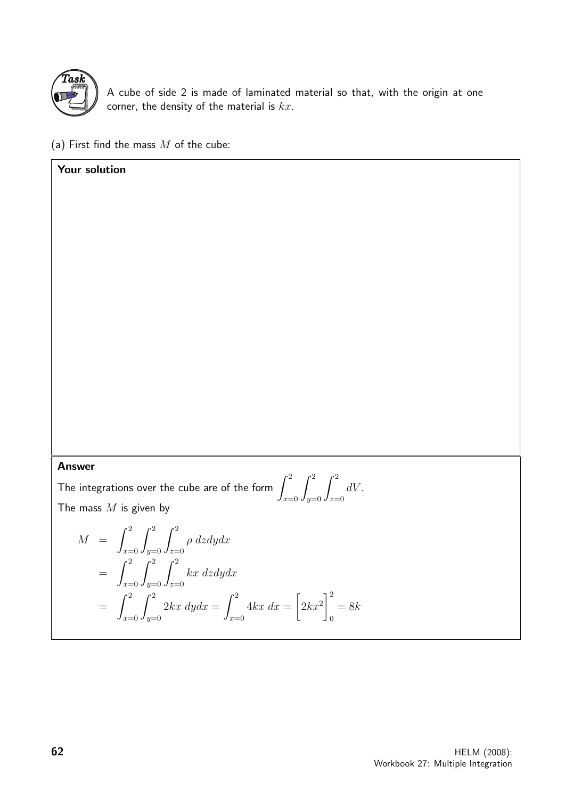

Your solution

A cube of side 2 is made of laminated material so that, with the origin at one corner, the density of the material is  $kx$ .

(a) First find the mass  $M$  of the cube:

Answer

The integrations over the cube are of the form  $\int^2$  $x=0$  $\int_0^2$  $y=0$  $\int_0^2$  $z=0$  $dV$ . The mass  $M$  is given by

$$
M = \int_{x=0}^{2} \int_{y=0}^{2} \int_{z=0}^{2} \rho \, dz dy dx
$$
  
= 
$$
\int_{x=0}^{2} \int_{y=0}^{2} \int_{z=0}^{2} kx \, dz dy dx
$$
  
= 
$$
\int_{x=0}^{2} \int_{y=0}^{2} 2kx \, dy dx = \int_{x=0}^{2} 4kx \, dx = \left[2kx^2\right]_{0}^{2} = 8k
$$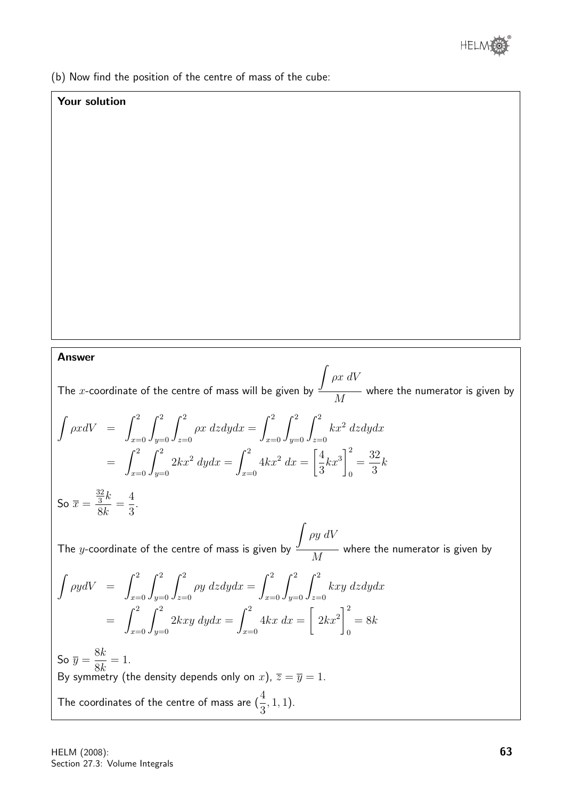

(b) Now find the position of the centre of mass of the cube:

### Your solution

Answer

The  $x$ -coordinate of the centre of mass will be given by  $\int \rho x \ dV$ M where the numerator is given by

$$
\int \rho x dV = \int_{x=0}^{2} \int_{y=0}^{2} \int_{z=0}^{2} \rho x \, dz dy dx = \int_{x=0}^{2} \int_{y=0}^{2} \int_{z=0}^{2} kx^{2} \, dz dy dx
$$

$$
= \int_{x=0}^{2} \int_{y=0}^{2} 2kx^{2} \, dy dx = \int_{x=0}^{2} 4kx^{2} \, dx = \left[\frac{4}{3}kx^{3}\right]_{0}^{2} = \frac{32}{3}k
$$

$$
\text{So } \overline{x} = \frac{\frac{32}{3}k}{8k} = \frac{4}{3}.
$$

The  $y$ -coordinate of the centre of mass is given by M where the numerator is given by

$$
\int \rho y dV = \int_{x=0}^{2} \int_{y=0}^{2} \int_{z=0}^{2} \rho y \, dz dy dx = \int_{x=0}^{2} \int_{y=0}^{2} \int_{z=0}^{2} kxy \, dz dy dx
$$

$$
= \int_{x=0}^{2} \int_{y=0}^{2} 2kxy \, dy dx = \int_{x=0}^{2} 4kx \, dx = \left[ 2kx^{2} \right]_{0}^{2} = 8k
$$

So  $\overline{y} =$ 8k 8k  $= 1$ . By symmetry (the density depends only on  $x$ ),  $\overline{z} = \overline{y} = 1$ . The coordinates of the centre of mass are  $(\frac{4}{3})$ 3 , 1, 1).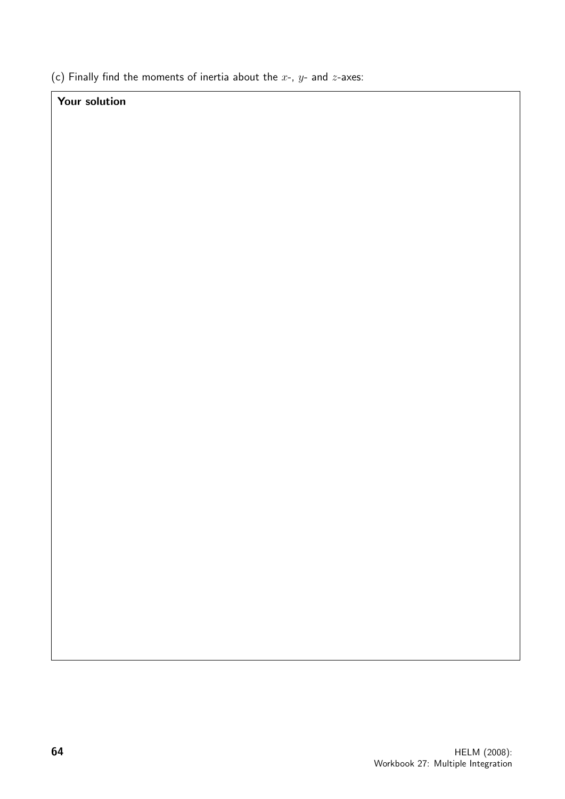(c) Finally find the moments of inertia about the  $x$ -,  $y$ - and  $z$ -axes:

# Your solution